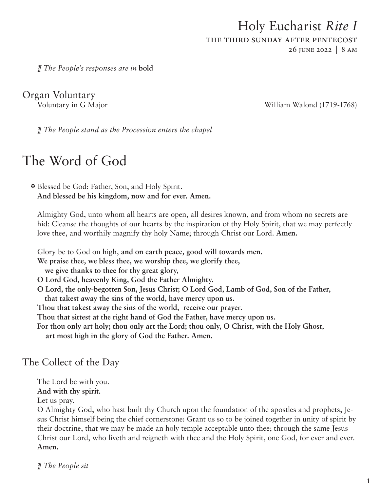# Holy Eucharist *Rite I* the third sunday after pentecost 26 june 2022 | 8 am

Organ Voluntary

*¶ The People's responses are in* **bold**

Voluntary in G Major William Walond (1719-1768)

*¶ The People stand as the Procession enters the chapel*

# The Word of God

X Blessed be God: Father, Son, and Holy Spirit. **And blessed be his kingdom, now and for ever. Amen.** 

Almighty God, unto whom all hearts are open, all desires known, and from whom no secrets are hid: Cleanse the thoughts of our hearts by the inspiration of thy Holy Spirit, that we may perfectly love thee, and worthily magnify thy holy Name; through Christ our Lord. **Amen.**

Glory be to God on high, **and on earth peace, good will towards men.**

**We praise thee, we bless thee, we worship thee, we glorify thee,** 

**we give thanks to thee for thy great glory,**

- **O Lord God, heavenly King, God the Father Almighty.**
- **O Lord, the only-begotten Son, Jesus Christ; O Lord God, Lamb of God, Son of the Father, that takest away the sins of the world, have mercy upon us.**

**Thou that takest away the sins of the world, receive our prayer.**

**Thou that sittest at the right hand of God the Father, have mercy upon us.**

**For thou only art holy; thou only art the Lord; thou only, O Christ, with the Holy Ghost, art most high in the glory of God the Father. Amen.**

# The Collect of the Day

The Lord be with you.

**And with thy spirit.**

Let us pray.

O Almighty God, who hast built thy Church upon the foundation of the apostles and prophets, Jesus Christ himself being the chief cornerstone: Grant us so to be joined together in unity of spirit by their doctrine, that we may be made an holy temple acceptable unto thee; through the same Jesus Christ our Lord, who liveth and reigneth with thee and the Holy Spirit, one God, for ever and ever. **Amen.**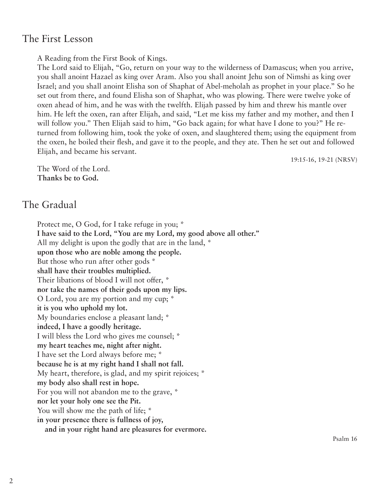## The First Lesson

A Reading from the First Book of Kings.

The Lord said to Elijah, "Go, return on your way to the wilderness of Damascus; when you arrive, you shall anoint Hazael as king over Aram. Also you shall anoint Jehu son of Nimshi as king over Israel; and you shall anoint Elisha son of Shaphat of Abel-meholah as prophet in your place." So he set out from there, and found Elisha son of Shaphat, who was plowing. There were twelve yoke of oxen ahead of him, and he was with the twelfth. Elijah passed by him and threw his mantle over him. He left the oxen, ran after Elijah, and said, "Let me kiss my father and my mother, and then I will follow you." Then Elijah said to him, "Go back again; for what have I done to you?" He returned from following him, took the yoke of oxen, and slaughtered them; using the equipment from the oxen, he boiled their flesh, and gave it to the people, and they ate. Then he set out and followed Elijah, and became his servant.

19:15-16, 19-21 (NRSV)

The Word of the Lord. **Thanks be to God.** 

## The Gradual

Protect me, O God, for I take refuge in you; \* **I have said to the Lord, "You are my Lord, my good above all other."** All my delight is upon the godly that are in the land, \* **upon those who are noble among the people.** But those who run after other gods \* **shall have their troubles multiplied.** Their libations of blood I will not offer, \* **nor take the names of their gods upon my lips.** O Lord, you are my portion and my cup; \* **it is you who uphold my lot.** My boundaries enclose a pleasant land; \* **indeed, I have a goodly heritage.** I will bless the Lord who gives me counsel; \* **my heart teaches me, night after night.** I have set the Lord always before me; \* **because he is at my right hand I shall not fall.** My heart, therefore, is glad, and my spirit rejoices; \* **my body also shall rest in hope.** For you will not abandon me to the grave, \* **nor let your holy one see the Pit.** You will show me the path of life;  $*$ **in your presence there is fullness of joy, and in your right hand are pleasures for evermore.**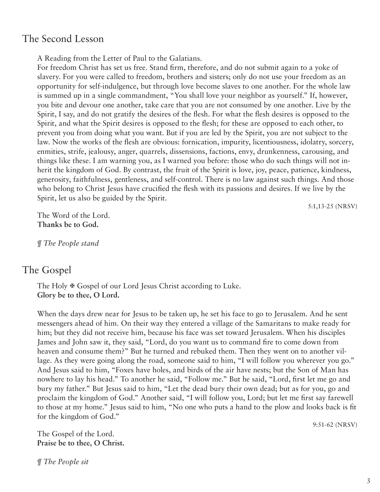## The Second Lesson

A Reading from the Letter of Paul to the Galatians.

For freedom Christ has set us free. Stand firm, therefore, and do not submit again to a yoke of slavery. For you were called to freedom, brothers and sisters; only do not use your freedom as an opportunity for self-indulgence, but through love become slaves to one another. For the whole law is summed up in a single commandment, "You shall love your neighbor as yourself." If, however, you bite and devour one another, take care that you are not consumed by one another. Live by the Spirit, I say, and do not gratify the desires of the flesh. For what the flesh desires is opposed to the Spirit, and what the Spirit desires is opposed to the flesh; for these are opposed to each other, to prevent you from doing what you want. But if you are led by the Spirit, you are not subject to the law. Now the works of the flesh are obvious: fornication, impurity, licentiousness, idolatry, sorcery, enmities, strife, jealousy, anger, quarrels, dissensions, factions, envy, drunkenness, carousing, and things like these. I am warning you, as I warned you before: those who do such things will not inherit the kingdom of God. By contrast, the fruit of the Spirit is love, joy, peace, patience, kindness, generosity, faithfulness, gentleness, and self-control. There is no law against such things. And those who belong to Christ Jesus have crucified the flesh with its passions and desires. If we live by the Spirit, let us also be guided by the Spirit.

5:1,13-25 (NRSV)

The Word of the Lord. **Thanks be to God.**

*¶ The People stand*

## The Gospel

The Holy  $\mathcal F$  Gospel of our Lord Jesus Christ according to Luke. **Glory be to thee, O Lord.**

When the days drew near for Jesus to be taken up, he set his face to go to Jerusalem. And he sent messengers ahead of him. On their way they entered a village of the Samaritans to make ready for him; but they did not receive him, because his face was set toward Jerusalem. When his disciples James and John saw it, they said, "Lord, do you want us to command fire to come down from heaven and consume them?" But he turned and rebuked them. Then they went on to another village. As they were going along the road, someone said to him, "I will follow you wherever you go." And Jesus said to him, "Foxes have holes, and birds of the air have nests; but the Son of Man has nowhere to lay his head." To another he said, "Follow me." But he said, "Lord, first let me go and bury my father." But Jesus said to him, "Let the dead bury their own dead; but as for you, go and proclaim the kingdom of God." Another said, "I will follow you, Lord; but let me first say farewell to those at my home." Jesus said to him, "No one who puts a hand to the plow and looks back is fit for the kingdom of God."

9:51-62 (NRSV)

The Gospel of the Lord. **Praise be to thee, O Christ.**

*¶ The People sit*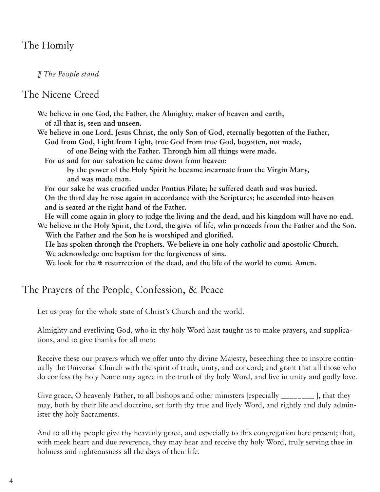# The Homily

*¶ The People stand*

#### The Nicene Creed

- **We believe in one God, the Father, the Almighty, maker of heaven and earth, of all that is, seen and unseen.**
- **We believe in one Lord, Jesus Christ, the only Son of God, eternally begotten of the Father, God from God, Light from Light, true God from true God, begotten, not made,**
	- **of one Being with the Father. Through him all things were made.**
	- **For us and for our salvation he came down from heaven:**

 **by the power of the Holy Spirit he became incarnate from the Virgin Mary, and was made man.**

**For our sake he was crucified under Pontius Pilate; he suffered death and was buried. On the third day he rose again in accordance with the Scriptures; he ascended into heaven and is seated at the right hand of the Father.**

**He will come again in glory to judge the living and the dead, and his kingdom will have no end. We believe in the Holy Spirit, the Lord, the giver of life, who proceeds from the Father and the Son. With the Father and the Son he is worshiped and glorified.**

 **He has spoken through the Prophets. We believe in one holy catholic and apostolic Church. We acknowledge one baptism for the forgiveness of sins.**

We look for the  $\Phi$  resurrection of the dead, and the life of the world to come. Amen.

## The Prayers of the People, Confession, & Peace

Let us pray for the whole state of Christ's Church and the world.

Almighty and everliving God, who in thy holy Word hast taught us to make prayers, and supplications, and to give thanks for all men:

Receive these our prayers which we offer unto thy divine Majesty, beseeching thee to inspire continually the Universal Church with the spirit of truth, unity, and concord; and grant that all those who do confess thy holy Name may agree in the truth of thy holy Word, and live in unity and godly love.

Give grace, O heavenly Father, to all bishops and other ministers [especially \_\_\_\_\_\_\_\_\_ ], that they may, both by their life and doctrine, set forth thy true and lively Word, and rightly and duly administer thy holy Sacraments.

And to all thy people give thy heavenly grace, and especially to this congregation here present; that, with meek heart and due reverence, they may hear and receive thy holy Word, truly serving thee in holiness and righteousness all the days of their life.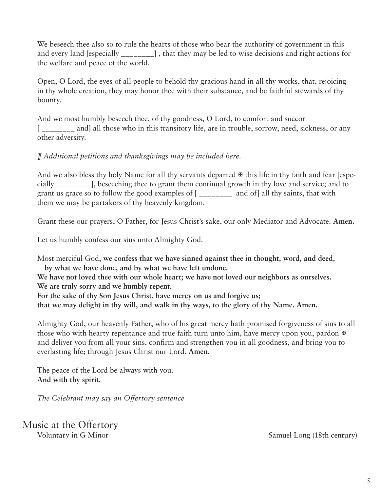We beseech thee also so to rule the hearts of those who bear the authority of government in this and every land [especially \_\_\_\_\_\_\_\_] , that they may be led to wise decisions and right actions for the welfare and peace of the world.

Open, O Lord, the eyes of all people to behold thy gracious hand in all thy works, that, rejoicing in thy whole creation, they may honor thee with their substance, and be faithful stewards of thy bounty.

And we most humbly beseech thee, of thy goodness, O Lord, to comfort and succor [\_\_\_\_\_\_\_ and] all those who in this transitory life, are in trouble, sorrow, need, sickness, or any other adversity.

#### *¶ Additional petitions and thanksgivings may be included here.*

And we also bless thy holy Name for all thy servants departed  $\mathcal F$  this life in thy faith and fear [especially \_\_\_\_\_\_\_\_ ], beseeching thee to grant them continual growth in thy love and service; and to grant us grace so to follow the good examples of [ \_\_\_\_\_\_\_\_ and of] all thy saints, that with them we may be partakers of thy heavenly kingdom.

Grant these our prayers, O Father, for Jesus Christ's sake, our only Mediator and Advocate. **Amen.**

Let us humbly confess our sins unto Almighty God.

Most merciful God, **we confess that we have sinned against thee in thought, word, and deed, by what we have done, and by what we have left undone.**

**We have not loved thee with our whole heart; we have not loved our neighbors as ourselves. We are truly sorry and we humbly repent.**

**For the sake of thy Son Jesus Christ, have mercy on us and forgive us; that we may delight in thy will, and walk in thy ways, to the glory of thy Name. Amen.**

Almighty God, our heavenly Father, who of his great mercy hath promised forgiveness of sins to all those who with hearty repentance and true faith turn unto him, have mercy upon you, pardon  $\mathbb{F}$ and deliver you from all your sins, confirm and strengthen you in all goodness, and bring you to everlasting life; through Jesus Christ our Lord. **Amen.**

The peace of the Lord be always with you. **And with thy spirit.**

*The Celebrant may say an Offertory sentence*

Music at the Offertory

Voluntary in G Minor Samuel Long (18th century)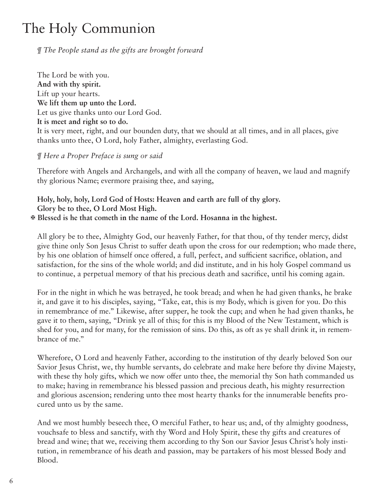# The Holy Communion

#### *¶ The People stand as the gifts are brought forward*

The Lord be with you. **And with thy spirit.** Lift up your hearts. **We lift them up unto the Lord.** Let us give thanks unto our Lord God. **It is meet and right so to do.** It is very meet, right, and our bounden duty, that we should at all times, and in all places, give thanks unto thee, O Lord, holy Father, almighty, everlasting God.

#### *¶ Here a Proper Preface is sung or said*

Therefore with Angels and Archangels, and with all the company of heaven, we laud and magnify thy glorious Name; evermore praising thee, and saying,

### **Holy, holy, holy, Lord God of Hosts: Heaven and earth are full of thy glory. Glory be to thee, O Lord Most High.**

#### X **Blessed is he that cometh in the name of the Lord. Hosanna in the highest.**

All glory be to thee, Almighty God, our heavenly Father, for that thou, of thy tender mercy, didst give thine only Son Jesus Christ to suffer death upon the cross for our redemption; who made there, by his one oblation of himself once offered, a full, perfect, and sufficient sacrifice, oblation, and satisfaction, for the sins of the whole world; and did institute, and in his holy Gospel command us to continue, a perpetual memory of that his precious death and sacrifice, until his coming again.

For in the night in which he was betrayed, he took bread; and when he had given thanks, he brake it, and gave it to his disciples, saying, "Take, eat, this is my Body, which is given for you. Do this in remembrance of me." Likewise, after supper, he took the cup; and when he had given thanks, he gave it to them, saying, "Drink ye all of this; for this is my Blood of the New Testament, which is shed for you, and for many, for the remission of sins. Do this, as oft as ye shall drink it, in remembrance of me."

Wherefore, O Lord and heavenly Father, according to the institution of thy dearly beloved Son our Savior Jesus Christ, we, thy humble servants, do celebrate and make here before thy divine Majesty, with these thy holy gifts, which we now offer unto thee, the memorial thy Son hath commanded us to make; having in remembrance his blessed passion and precious death, his mighty resurrection and glorious ascension; rendering unto thee most hearty thanks for the innumerable benefits procured unto us by the same.

And we most humbly beseech thee, O merciful Father, to hear us; and, of thy almighty goodness, vouchsafe to bless and sanctify, with thy Word and Holy Spirit, these thy gifts and creatures of bread and wine; that we, receiving them according to thy Son our Savior Jesus Christ's holy institution, in remembrance of his death and passion, may be partakers of his most blessed Body and Blood.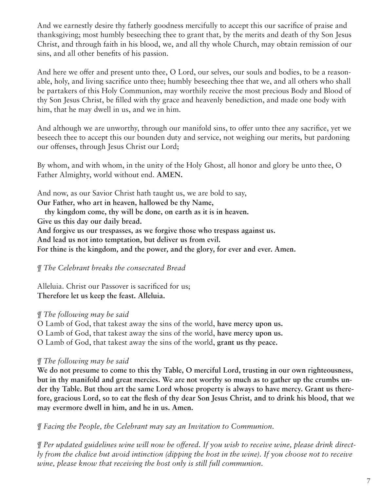And we earnestly desire thy fatherly goodness mercifully to accept this our sacrifice of praise and thanksgiving; most humbly beseeching thee to grant that, by the merits and death of thy Son Jesus Christ, and through faith in his blood, we, and all thy whole Church, may obtain remission of our sins, and all other benefits of his passion.

And here we offer and present unto thee, O Lord, our selves, our souls and bodies, to be a reasonable, holy, and living sacrifice unto thee; humbly beseeching thee that we, and all others who shall be partakers of this Holy Communion, may worthily receive the most precious Body and Blood of thy Son Jesus Christ, be filled with thy grace and heavenly benediction, and made one body with him, that he may dwell in us, and we in him.

And although we are unworthy, through our manifold sins, to offer unto thee any sacrifice, yet we beseech thee to accept this our bounden duty and service, not weighing our merits, but pardoning our offenses, through Jesus Christ our Lord;

By whom, and with whom, in the unity of the Holy Ghost, all honor and glory be unto thee, O Father Almighty, world without end. **AMEN.**

And now, as our Savior Christ hath taught us, we are bold to say, **Our Father, who art in heaven, hallowed be thy Name,** 

**thy kingdom come, thy will be done, on earth as it is in heaven.**

**Give us this day our daily bread.**

**And forgive us our trespasses, as we forgive those who trespass against us.**

**And lead us not into temptation, but deliver us from evil.**

**For thine is the kingdom, and the power, and the glory, for ever and ever. Amen.**

#### *¶ The Celebrant breaks the consecrated Bread*

Alleluia. Christ our Passover is sacrificed for us; **Therefore let us keep the feast. Alleluia.**

#### *¶ The following may be said*

O Lamb of God, that takest away the sins of the world, **have mercy upon us.**

O Lamb of God, that takest away the sins of the world, **have mercy upon us.**

O Lamb of God, that takest away the sins of the world, **grant us thy peace.**

#### *¶ The following may be said*

**We do not presume to come to this thy Table, O merciful Lord, trusting in our own righteousness, but in thy manifold and great mercies. We are not worthy so much as to gather up the crumbs under thy Table. But thou art the same Lord whose property is always to have mercy. Grant us therefore, gracious Lord, so to eat the flesh of thy dear Son Jesus Christ, and to drink his blood, that we may evermore dwell in him, and he in us. Amen.**

*¶ Facing the People, the Celebrant may say an Invitation to Communion.*

*¶ Per updated guidelines wine will now be offered. If you wish to receive wine, please drink directly from the chalice but avoid intinction (dipping the host in the wine). If you choose not to receive wine, please know that receiving the host only is still full communion.*